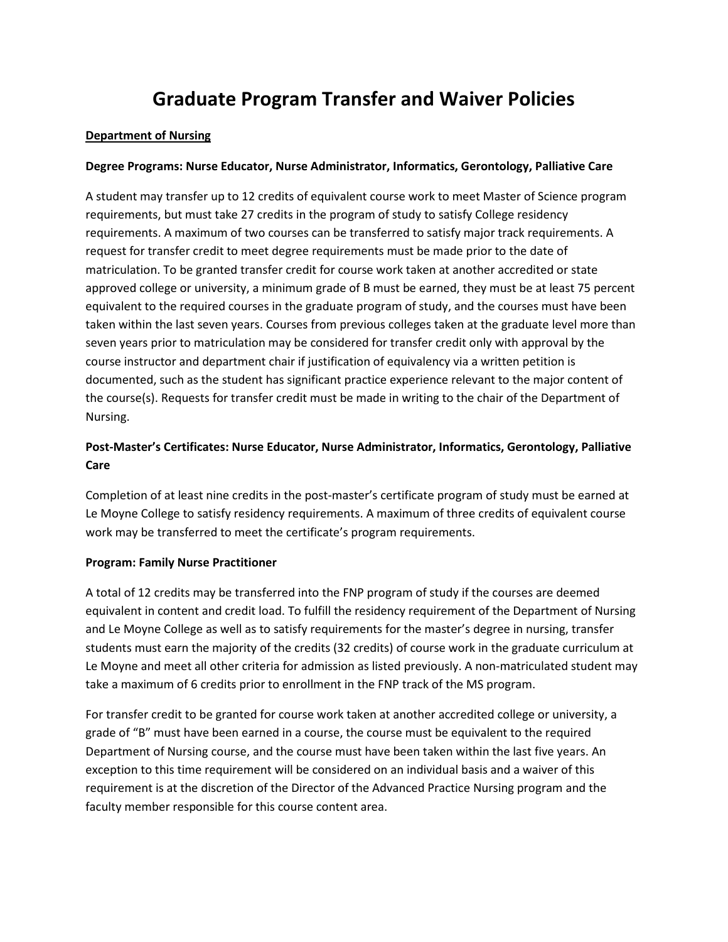# **Graduate Program Transfer and Waiver Policies**

# **Department of Nursing**

# **Degree Programs: Nurse Educator, Nurse Administrator, Informatics, Gerontology, Palliative Care**

A student may transfer up to 12 credits of equivalent course work to meet Master of Science program requirements, but must take 27 credits in the program of study to satisfy College residency requirements. A maximum of two courses can be transferred to satisfy major track requirements. A request for transfer credit to meet degree requirements must be made prior to the date of matriculation. To be granted transfer credit for course work taken at another accredited or state approved college or university, a minimum grade of B must be earned, they must be at least 75 percent equivalent to the required courses in the graduate program of study, and the courses must have been taken within the last seven years. Courses from previous colleges taken at the graduate level more than seven years prior to matriculation may be considered for transfer credit only with approval by the course instructor and department chair if justification of equivalency via a written petition is documented, such as the student has significant practice experience relevant to the major content of the course(s). Requests for transfer credit must be made in writing to the chair of the Department of Nursing.

# **Post-Master's Certificates: Nurse Educator, Nurse Administrator, Informatics, Gerontology, Palliative Care**

Completion of at least nine credits in the post-master's certificate program of study must be earned at Le Moyne College to satisfy residency requirements. A maximum of three credits of equivalent course work may be transferred to meet the certificate's program requirements.

# **Program: Family Nurse Practitioner**

A total of 12 credits may be transferred into the FNP program of study if the courses are deemed equivalent in content and credit load. To fulfill the residency requirement of the Department of Nursing and Le Moyne College as well as to satisfy requirements for the master's degree in nursing, transfer students must earn the majority of the credits (32 credits) of course work in the graduate curriculum at Le Moyne and meet all other criteria for admission as listed previously. A non-matriculated student may take a maximum of 6 credits prior to enrollment in the FNP track of the MS program.

For transfer credit to be granted for course work taken at another accredited college or university, a grade of "B" must have been earned in a course, the course must be equivalent to the required Department of Nursing course, and the course must have been taken within the last five years. An exception to this time requirement will be considered on an individual basis and a waiver of this requirement is at the discretion of the Director of the Advanced Practice Nursing program and the faculty member responsible for this course content area.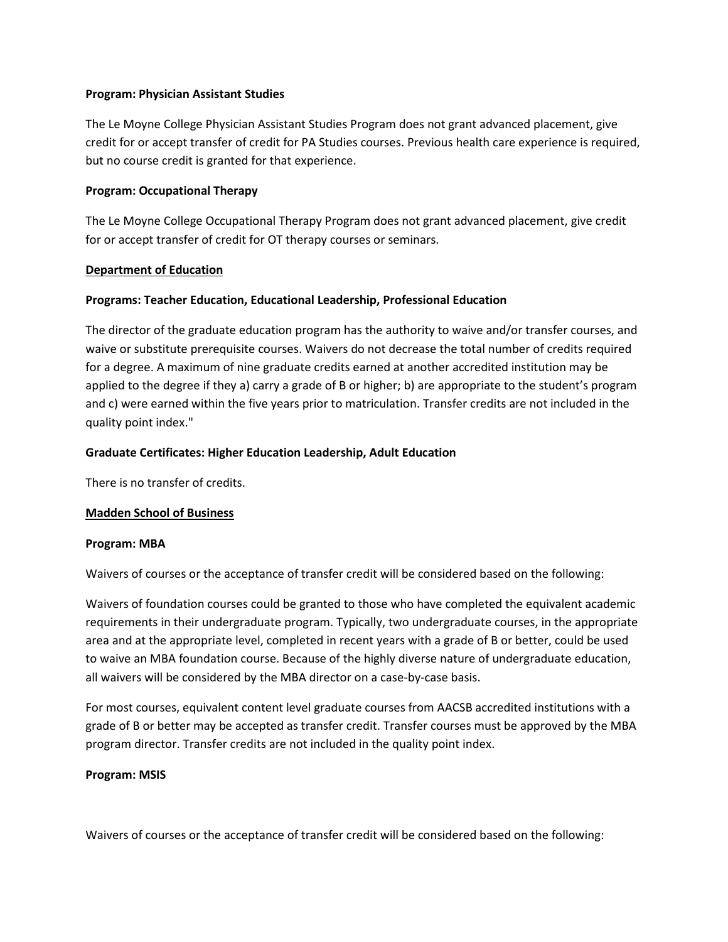#### **Program: Physician Assistant Studies**

The Le Moyne College Physician Assistant Studies Program does not grant advanced placement, give credit for or accept transfer of credit for PA Studies courses. Previous health care experience is required, but no course credit is granted for that experience.

# **Program: Occupational Therapy**

The Le Moyne College Occupational Therapy Program does not grant advanced placement, give credit for or accept transfer of credit for OT therapy courses or seminars.

#### **Department of Education**

# **Programs: Teacher Education, Educational Leadership, Professional Education**

The director of the graduate education program has the authority to waive and/or transfer courses, and waive or substitute prerequisite courses. Waivers do not decrease the total number of credits required for a degree. A maximum of nine graduate credits earned at another accredited institution may be applied to the degree if they a) carry a grade of B or higher; b) are appropriate to the student's program and c) were earned within the five years prior to matriculation. Transfer credits are not included in the quality point index."

#### **Graduate Certificates: Higher Education Leadership, Adult Education**

There is no transfer of credits.

#### **Madden School of Business**

#### **Program: MBA**

Waivers of courses or the acceptance of transfer credit will be considered based on the following:

Waivers of foundation courses could be granted to those who have completed the equivalent academic requirements in their undergraduate program. Typically, two undergraduate courses, in the appropriate area and at the appropriate level, completed in recent years with a grade of B or better, could be used to waive an MBA foundation course. Because of the highly diverse nature of undergraduate education, all waivers will be considered by the MBA director on a case-by-case basis.

For most courses, equivalent content level graduate courses from AACSB accredited institutions with a grade of B or better may be accepted as transfer credit. Transfer courses must be approved by the MBA program director. Transfer credits are not included in the quality point index.

#### **Program: MSIS**

Waivers of courses or the acceptance of transfer credit will be considered based on the following: